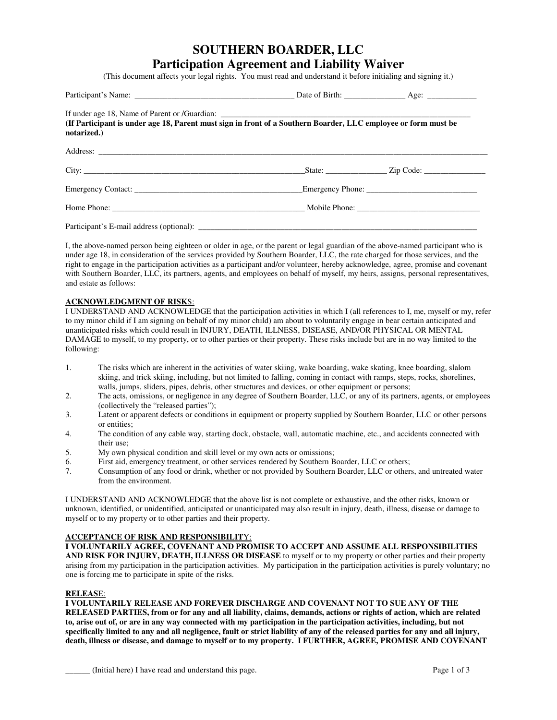# **SOUTHERN BOARDER, LLC Participation Agreement and Liability Waiver**

(This document affects your legal rights. You must read and understand it before initialing and signing it.)

| (If Participant is under age 18, Parent must sign in front of a Southern Boarder, LLC employee or form must be<br>notarized.) |                                                                                                                                                                                                                                |  |
|-------------------------------------------------------------------------------------------------------------------------------|--------------------------------------------------------------------------------------------------------------------------------------------------------------------------------------------------------------------------------|--|
|                                                                                                                               |                                                                                                                                                                                                                                |  |
|                                                                                                                               | $State:$ $Zip Code:$ $\qquad \qquad$                                                                                                                                                                                           |  |
|                                                                                                                               |                                                                                                                                                                                                                                |  |
|                                                                                                                               | Home Phone: Mobile Phone North America And America And America And America And America And America And America And America And America And America And America And America And America And America And America And America And |  |
| Participant's E-mail address (optional):                                                                                      |                                                                                                                                                                                                                                |  |

I, the above-named person being eighteen or older in age, or the parent or legal guardian of the above-named participant who is under age 18, in consideration of the services provided by Southern Boarder, LLC, the rate charged for those services, and the right to engage in the participation activities as a participant and/or volunteer, hereby acknowledge, agree, promise and covenant with Southern Boarder, LLC, its partners, agents, and employees on behalf of myself, my heirs, assigns, personal representatives, and estate as follows:

# **ACKNOWLEDGMENT OF RISK**S:

I UNDERSTAND AND ACKNOWLEDGE that the participation activities in which I (all references to I, me, myself or my, refer to my minor child if I am signing on behalf of my minor child) am about to voluntarily engage in bear certain anticipated and unanticipated risks which could result in INJURY, DEATH, ILLNESS, DISEASE, AND/OR PHYSICAL OR MENTAL DAMAGE to myself, to my property, or to other parties or their property. These risks include but are in no way limited to the following:

- 1. The risks which are inherent in the activities of water skiing, wake boarding, wake skating, knee boarding, slalom skiing, and trick skiing, including, but not limited to falling, coming in contact with ramps, steps, rocks, shorelines, walls, jumps, sliders, pipes, debris, other structures and devices, or other equipment or persons;
- 2. The acts, omissions, or negligence in any degree of Southern Boarder, LLC, or any of its partners, agents, or employees (collectively the "released parties");
- 3. Latent or apparent defects or conditions in equipment or property supplied by Southern Boarder, LLC or other persons or entities;
- 4. The condition of any cable way, starting dock, obstacle, wall, automatic machine, etc., and accidents connected with their use;
- 5. My own physical condition and skill level or my own acts or omissions;
- 6. First aid, emergency treatment, or other services rendered by Southern Boarder, LLC or others;<br>7. Consumption of any food or drink, whether or not provided by Southern Boarder, LLC or others
- 7. Consumption of any food or drink, whether or not provided by Southern Boarder, LLC or others, and untreated water from the environment.

I UNDERSTAND AND ACKNOWLEDGE that the above list is not complete or exhaustive, and the other risks, known or unknown, identified, or unidentified, anticipated or unanticipated may also result in injury, death, illness, disease or damage to myself or to my property or to other parties and their property.

### **ACCEPTANCE OF RISK AND RESPONSIBILIT**Y:

**I VOLUNTARILY AGREE, COVENANT AND PROMISE TO ACCEPT AND ASSUME ALL RESPONSIBILITIES AND RISK FOR INJURY, DEATH, ILLNESS OR DISEASE** to myself or to my property or other parties and their property arising from my participation in the participation activities. My participation in the participation activities is purely voluntary; no one is forcing me to participate in spite of the risks.

#### **RELEAS**E:

**I VOLUNTARILY RELEASE AND FOREVER DISCHARGE AND COVENANT NOT TO SUE ANY OF THE RELEASED PARTIES, from or for any and all liability, claims, demands, actions or rights of action, which are related to, arise out of, or are in any way connected with my participation in the participation activities, including, but not specifically limited to any and all negligence, fault or strict liability of any of the released parties for any and all injury, death, illness or disease, and damage to myself or to my property. I FURTHER, AGREE, PROMISE AND COVENANT**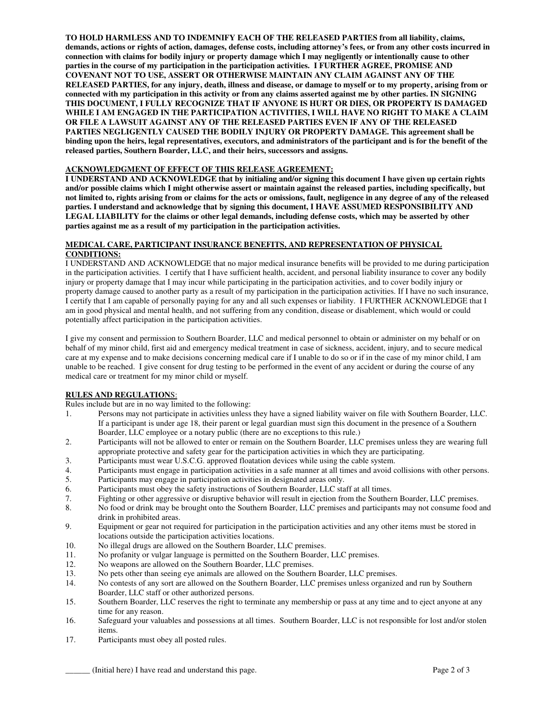**TO HOLD HARMLESS AND TO INDEMNIFY EACH OF THE RELEASED PARTIES from all liability, claims, demands, actions or rights of action, damages, defense costs, including attorney's fees, or from any other costs incurred in connection with claims for bodily injury or property damage which I may negligently or intentionally cause to other parties in the course of my participation in the participation activities. I FURTHER AGREE, PROMISE AND COVENANT NOT TO USE, ASSERT OR OTHERWISE MAINTAIN ANY CLAIM AGAINST ANY OF THE RELEASED PARTIES, for any injury, death, illness and disease, or damage to myself or to my property, arising from or connected with my participation in this activity or from any claims asserted against me by other parties. IN SIGNING THIS DOCUMENT, I FULLY RECOGNIZE THAT IF ANYONE IS HURT OR DIES, OR PROPERTY IS DAMAGED WHILE I AM ENGAGED IN THE PARTICIPATION ACTIVITIES, I WILL HAVE NO RIGHT TO MAKE A CLAIM OR FILE A LAWSUIT AGAINST ANY OF THE RELEASED PARTIES EVEN IF ANY OF THE RELEASED PARTIES NEGLIGENTLY CAUSED THE BODILY INJURY OR PROPERTY DAMAGE. This agreement shall be binding upon the heirs, legal representatives, executors, and administrators of the participant and is for the benefit of the released parties, Southern Boarder, LLC, and their heirs, successors and assigns.** 

# **ACKNOWLEDGMENT OF EFFECT OF THIS RELEASE AGREEMENT:**

**I UNDERSTAND AND ACKNOWLEDGE that by initialing and/or signing this document I have given up certain rights and/or possible claims which I might otherwise assert or maintain against the released parties, including specifically, but not limited to, rights arising from or claims for the acts or omissions, fault, negligence in any degree of any of the released parties. I understand and acknowledge that by signing this document, I HAVE ASSUMED RESPONSIBILITY AND LEGAL LIABILITY for the claims or other legal demands, including defense costs, which may be asserted by other parties against me as a result of my participation in the participation activities.** 

## **MEDICAL CARE, PARTICIPANT INSURANCE BENEFITS, AND REPRESENTATION OF PHYSICAL CONDITIONS:**

I UNDERSTAND AND ACKNOWLEDGE that no major medical insurance benefits will be provided to me during participation in the participation activities. I certify that I have sufficient health, accident, and personal liability insurance to cover any bodily injury or property damage that I may incur while participating in the participation activities, and to cover bodily injury or property damage caused to another party as a result of my participation in the participation activities. If I have no such insurance, I certify that I am capable of personally paying for any and all such expenses or liability. I FURTHER ACKNOWLEDGE that I am in good physical and mental health, and not suffering from any condition, disease or disablement, which would or could potentially affect participation in the participation activities.

I give my consent and permission to Southern Boarder, LLC and medical personnel to obtain or administer on my behalf or on behalf of my minor child, first aid and emergency medical treatment in case of sickness, accident, injury, and to secure medical care at my expense and to make decisions concerning medical care if I unable to do so or if in the case of my minor child, I am unable to be reached. I give consent for drug testing to be performed in the event of any accident or during the course of any medical care or treatment for my minor child or myself.

# **RULES AND REGULATION**S:

Rules include but are in no way limited to the following:

- 1. Persons may not participate in activities unless they have a signed liability waiver on file with Southern Boarder, LLC. If a participant is under age 18, their parent or legal guardian must sign this document in the presence of a Southern Boarder, LLC employee or a notary public (there are no exceptions to this rule.)
- 2. Participants will not be allowed to enter or remain on the Southern Boarder, LLC premises unless they are wearing full appropriate protective and safety gear for the participation activities in which they are participating.
- 3. Participants must wear U.S.C.G. approved floatation devices while using the cable system.
- 4. Participants must engage in participation activities in a safe manner at all times and avoid collisions with other persons.
- 5. Participants may engage in participation activities in designated areas only.
- 6. Participants must obey the safety instructions of Southern Boarder, LLC staff at all times.
- 7. Fighting or other aggressive or disruptive behavior will result in ejection from the Southern Boarder, LLC premises.
- 8. No food or drink may be brought onto the Southern Boarder, LLC premises and participants may not consume food and drink in prohibited areas.
- 9. Equipment or gear not required for participation in the participation activities and any other items must be stored in locations outside the participation activities locations.
- 10. No illegal drugs are allowed on the Southern Boarder, LLC premises.
- 11. No profanity or vulgar language is permitted on the Southern Boarder, LLC premises.
- 12. No weapons are allowed on the Southern Boarder, LLC premises.
- 13. No pets other than seeing eye animals are allowed on the Southern Boarder, LLC premises.
- 14. No contests of any sort are allowed on the Southern Boarder, LLC premises unless organized and run by Southern Boarder, LLC staff or other authorized persons.
- 15. Southern Boarder, LLC reserves the right to terminate any membership or pass at any time and to eject anyone at any time for any reason.
- 16. Safeguard your valuables and possessions at all times. Southern Boarder, LLC is not responsible for lost and/or stolen items.
- 17. Participants must obey all posted rules.